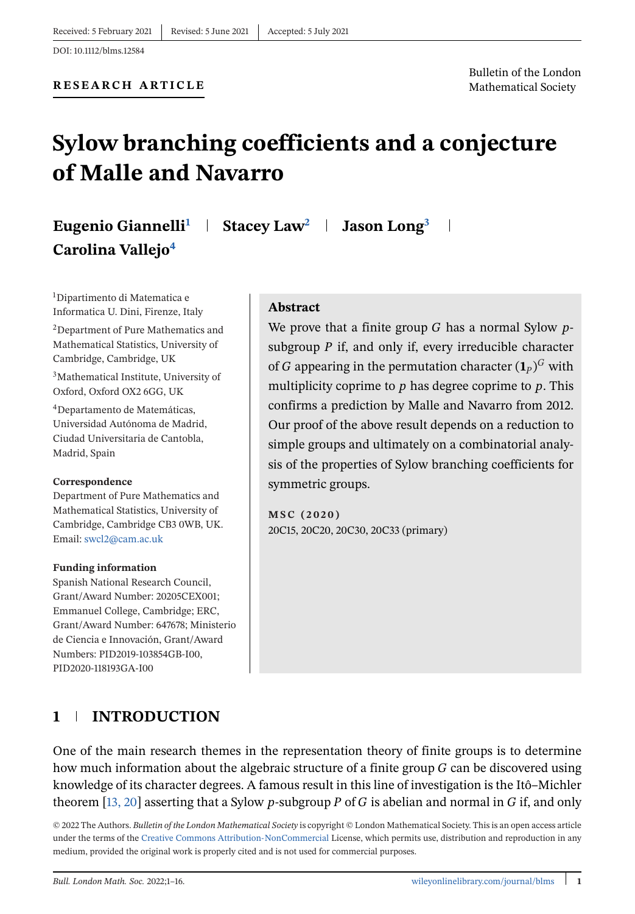# <span id="page-0-0"></span>**Sylow branching coefficients and a conjecture of Malle and Navarro**

**Eugenio Giannelli<sup>1</sup> Stacey Law<sup>2</sup> Jason Long<sup>3</sup> Carolina Vallejo<sup>4</sup>**

1Dipartimento di Matematica e Informatica U. Dini, Firenze, Italy

2Department of Pure Mathematics and Mathematical Statistics, University of Cambridge, Cambridge, UK

3Mathematical Institute, University of Oxford, Oxford OX2 6GG, UK

4Departamento de Matemáticas, Universidad Autónoma de Madrid, Ciudad Universitaria de Cantobla, Madrid, Spain

#### **Correspondence**

Department of Pure Mathematics and Mathematical Statistics, University of Cambridge, Cambridge CB3 0WB, UK. Email: [swcl2@cam.ac.uk](mailto:swcl2@cam.ac.uk)

#### **Funding information**

Spanish National Research Council, Grant/Award Number: 20205CEX001; Emmanuel College, Cambridge; ERC, Grant/Award Number: 647678; Ministerio de Ciencia e Innovación, Grant/Award Numbers: PID2019-103854GB-I00, PID2020-118193GA-I00

#### **Abstract**

We prove that a finite group  $G$  has a normal Sylow  $p$ subgroup  $P$  if, and only if, every irreducible character of G appearing in the permutation character  $(1_p)^G$  with multiplicity coprime to  $p$  has degree coprime to  $p$ . This confirms a prediction by Malle and Navarro from 2012. Our proof of the above result depends on a reduction to simple groups and ultimately on a combinatorial analysis of the properties of Sylow branching coefficients for symmetric groups.

**MSC (2020)** 20C15, 20C20, 20C30, 20C33 (primary)

# **1 INTRODUCTION**

One of the main research themes in the representation theory of finite groups is to determine how much information about the algebraic structure of a finite group  $G$  can be discovered using knowledge of its character degrees. A famous result in this line of investigation is the Itô–Michler theorem [\[13, 20\]](#page-15-0) asserting that a Sylow p-subgroup P of G is abelian and normal in G if, and only

© 2022 The Authors. *Bulletin of the London Mathematical Society* is copyright © London Mathematical Society. This is an open access article under the terms of the [Creative Commons Attribution-NonCommercial](http://creativecommons.org/licenses/by-nc/4.0/) License, which permits use, distribution and reproduction in any medium, provided the original work is properly cited and is not used for commercial purposes.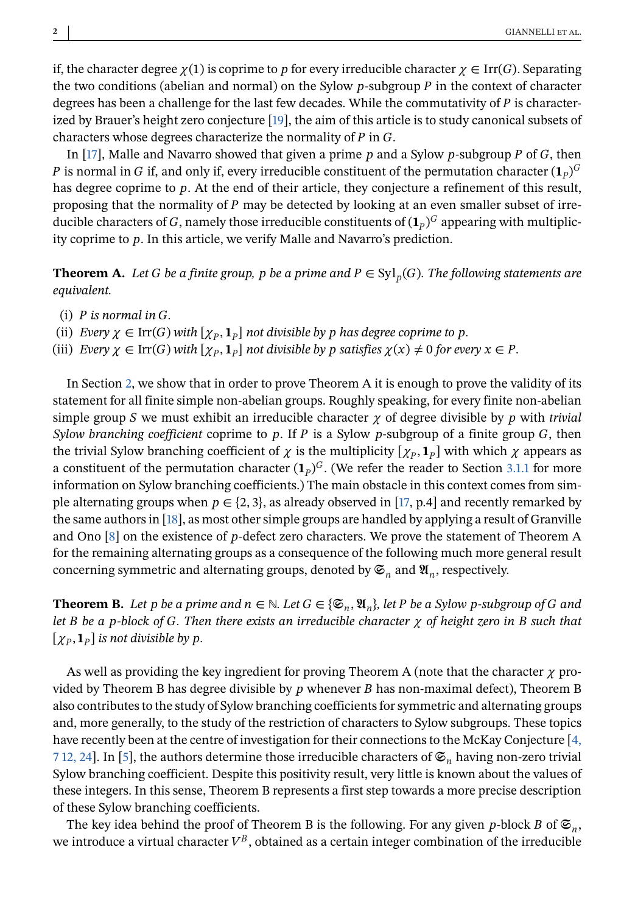if, the character degree  $\chi(1)$  is coprime to p for every irreducible character  $\chi \in \text{Irr}(G)$ . Separating the two conditions (abelian and normal) on the Sylow  $p$ -subgroup  $P$  in the context of character degrees has been a challenge for the last few decades. While the commutativity of  $P$  is characterized by Brauer's height zero conjecture [\[19\]](#page-15-0), the aim of this article is to study canonical subsets of characters whose degrees characterize the normality of  $P$  in  $G$ .

In [\[17\]](#page-15-0), Malle and Navarro showed that given a prime  $p$  and a Sylow  $p$ -subgroup  $P$  of  $G$ , then P is normal in G if, and only if, every irreducible constituent of the permutation character  $(1_p)^G$ has degree coprime to p. At the end of their article, they conjecture a refinement of this result, proposing that the normality of  $P$  may be detected by looking at an even smaller subset of irreducible characters of G, namely those irreducible constituents of  $(1<sub>p</sub>)<sup>G</sup>$  appearing with multiplicity coprime to  $p$ . In this article, we verify Malle and Navarro's prediction.

**Theorem A.** Let G be a finite group, p be a prime and  $P \in \text{Syl}_n(G)$ . The following statements are *equivalent.*

- $(i)$  *P* is normal in *G*.
- (ii) *Every*  $\chi \in \text{Irr}(G)$  *with*  $[\chi_p, \mathbf{1}_p]$  *not divisible by p has degree coprime to p*.
- (iii) *Every*  $\chi \in \text{Irr}(G)$  *with*  $[\chi_p, \mathbf{1}_p]$  *not divisible by p satisfies*  $\chi(x) \neq 0$  *for every*  $x \in P$ *.*

In Section [2,](#page-2-0) we show that in order to prove Theorem A it is enough to prove the validity of its statement for all finite simple non-abelian groups. Roughly speaking, for every finite non-abelian simple group S we must exhibit an irreducible character  $\chi$  of degree divisible by p with *trivial Sylow branching coefficient* coprime to p. If P is a Sylow p-subgroup of a finite group  $G$ , then the trivial Sylow branching coefficient of  $\chi$  is the multiplicity  $[\chi_p, \mathbf{1}_p]$  with which  $\chi$  appears as a constituent of the permutation character  $(1<sub>p</sub>)<sup>G</sup>$ . (We refer the reader to Section [3.1.1](#page-6-0) for more information on Sylow branching coefficients.) The main obstacle in this context comes from simple alternating groups when  $p \in \{2, 3\}$ , as already observed in [\[17,](#page-15-0) p.4] and recently remarked by the same authors in [\[18\]](#page-15-0), as most other simple groups are handled by applying a result of Granville and Ono  $[8]$  on the existence of p-defect zero characters. We prove the statement of Theorem A for the remaining alternating groups as a consequence of the following much more general result concerning symmetric and alternating groups, denoted by  $\mathfrak{S}_n$  and  $\mathfrak{A}_n$ , respectively.

**Theorem B.** Let p be a prime and  $n \in \mathbb{N}$ . Let  $G \in \{S_n, \mathfrak{A}_n\}$ , let P be a Sylow p-subgroup of G and *let B be a p*-block of *G*. Then there exists an irreducible character  $\chi$  of height zero in *B* such that  $[\chi_p, \mathbf{1}_p]$  is not divisible by p.

As well as providing the key ingredient for proving Theorem A (note that the character  $\chi$  provided by Theorem B has degree divisible by  $p$  whenever  $B$  has non-maximal defect), Theorem B also contributes to the study of Sylow branching coefficients for symmetric and alternating groups and, more generally, to the study of the restriction of characters to Sylow subgroups. These topics have recently been at the centre of investigation for their connections to the McKay Conjecture [\[4,](#page-15-0) [7 12, 24\]](#page-15-0). In [\[5\]](#page-15-0), the authors determine those irreducible characters of  $\mathfrak{S}_n$  having non-zero trivial Sylow branching coefficient. Despite this positivity result, very little is known about the values of these integers. In this sense, Theorem B represents a first step towards a more precise description of these Sylow branching coefficients.

The key idea behind the proof of Theorem B is the following. For any given p-block B of  $\mathfrak{S}_n$ , we introduce a virtual character  $V^B$ , obtained as a certain integer combination of the irreducible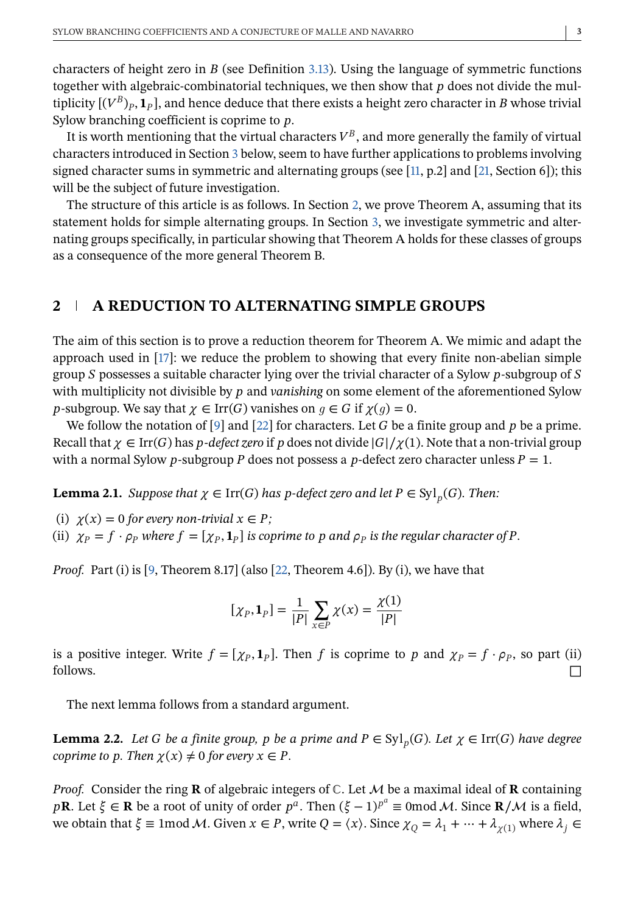<span id="page-2-0"></span>characters of height zero in  $B$  (see Definition [3.13\)](#page-11-0). Using the language of symmetric functions together with algebraic-combinatorial techniques, we then show that  $p$  does not divide the multiplicity  $[(V^B)_p, 1_p]$ , and hence deduce that there exists a height zero character in *B* whose trivial Sylow branching coefficient is coprime to  $p$ .

It is worth mentioning that the virtual characters  $V^B$ , and more generally the family of virtual characters introduced in Section [3](#page-5-0) below, seem to have further applications to problems involving signed character sums in symmetric and alternating groups (see  $[11, p.2]$  $[11, p.2]$  and  $[21, Section 6]$  $[21, Section 6]$ ); this will be the subject of future investigation.

The structure of this article is as follows. In Section 2, we prove Theorem A, assuming that its statement holds for simple alternating groups. In Section [3,](#page-5-0) we investigate symmetric and alternating groups specifically, in particular showing that Theorem A holds for these classes of groups as a consequence of the more general Theorem B.

## **2 A REDUCTION TO ALTERNATING SIMPLE GROUPS**

The aim of this section is to prove a reduction theorem for Theorem A. We mimic and adapt the approach used in [\[17\]](#page-15-0): we reduce the problem to showing that every finite non-abelian simple group  $S$  possesses a suitable character lying over the trivial character of a Sylow  $p$ -subgroup of  $S$ with multiplicity not divisible by p and *vanishing* on some element of the aforementioned Sylow p-subgroup. We say that  $\chi \in \text{Irr}(G)$  vanishes on  $q \in G$  if  $\chi(q) = 0$ .

We follow the notation of  $\lceil 9 \rceil$  and  $\lceil 22 \rceil$  for characters. Let G be a finite group and p be a prime. Recall that  $\chi \in \text{Irr}(G)$  has *p-defect zero* if *p* does not divide  $|G|/\chi(1)$ . Note that a non-trivial group with a normal Sylow p-subgroup P does not possess a p-defect zero character unless  $P = 1$ .

**Lemma 2.1.** *Suppose that*  $\chi \in \text{Irr}(G)$  *has p*-defect zero and let  $P \in \text{Syl}_p(G)$ *. Then:* 

- (i)  $\chi(x) = 0$  *for every non-trivial*  $x \in P$ ;
- (ii)  $\chi_P = f \cdot \rho_P$  where  $f = [\chi_P, \mathbf{1}_P]$  is coprime to p and  $\rho_P$  is the regular character of P.

*Proof.* Part (i) is [\[9,](#page-15-0) Theorem 8.17] (also [\[22,](#page-15-0) Theorem 4.6]). By (i), we have that

$$
[\chi_P, \mathbf{1}_P] = \frac{1}{|P|} \sum_{x \in P} \chi(x) = \frac{\chi(1)}{|P|}
$$

is a positive integer. Write  $f = [\chi_p, 1_p]$ . Then f is coprime to p and  $\chi_p = f \cdot \rho_p$ , so part (ii) follows.  $\Box$ 

The next lemma follows from a standard argument.

**Lemma 2.2.** *Let G be a finite group, p be a prime and*  $P \in \text{Syl}_p(G)$ *. Let*  $\chi \in \text{Irr}(G)$  *have degree coprime to p. Then*  $\chi(x) \neq 0$  *for every*  $x \in P$ .

*Proof.* Consider the ring **R** of algebraic integers of  $\mathbb{C}$ . Let M be a maximal ideal of **R** containing p**R**. Let  $\xi \in \mathbf{R}$  be a root of unity of order  $p^{\alpha}$ . Then  $(\xi - 1)^{p^{\alpha}} \equiv 0 \mod M$ . Since **R**/M is a field, we obtain that  $\xi \equiv 1 \mod M$ . Given  $x \in P$ , write  $Q = \langle x \rangle$ . Since  $\chi_Q = \lambda_1 + \cdots + \lambda_{\chi(1)}$  where  $\lambda_i \in$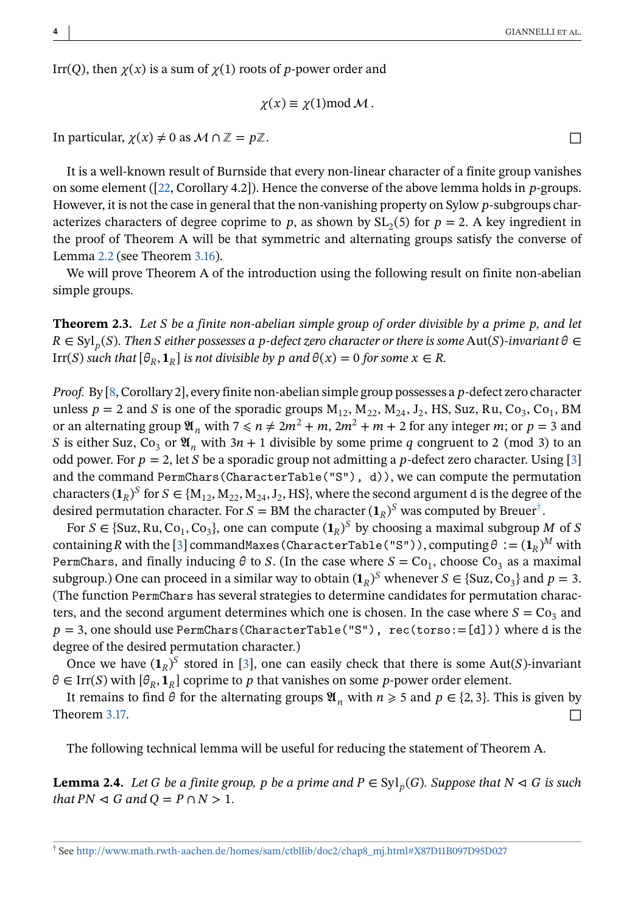<span id="page-3-0"></span>Irr(Q), then  $\chi(x)$  is a sum of  $\chi(1)$  roots of p-power order and

$$
\chi(x) \equiv \chi(1) \text{mod } \mathcal{M}.
$$

In particular,  $\chi(x) \neq 0$  as  $\mathcal{M} \cap \mathbb{Z} = p\mathbb{Z}$ .

It is a well-known result of Burnside that every non-linear character of a finite group vanishes on some element  $(22, Corollary 4.2])$ . Hence the converse of the above lemma holds in p-groups. However, it is not the case in general that the non-vanishing property on Sylow  $p$ -subgroups characterizes characters of degree coprime to p, as shown by  $SL_2(5)$  for  $p = 2$ . A key ingredient in the proof of Theorem A will be that symmetric and alternating groups satisfy the converse of Lemma [2.2](#page-2-0) (see Theorem [3.16\)](#page-12-0).

We will prove Theorem A of the introduction using the following result on finite non-abelian simple groups.

**Theorem 2.3.** Let *S* be a finite non-abelian simple group of order divisible by a prime p, and let  $R \in \text{Syl}_n(S)$ . Then *S* either possesses a *p*-defect zero character or there is some Aut(S)-invariant  $\theta \in$ Irr(S) *such that*  $[\theta_R, \mathbf{1}_R]$  *is not divisible by*  $p$  *and*  $\theta(x) = 0$  *for some*  $x \in R$ *.* 

*Proof.* By [\[8,](#page-15-0) Corollary 2], every finite non-abelian simple group possesses a p-defect zero character unless  $p=2$  and S is one of the sporadic groups  $M_{12}$ ,  $M_{22}$ ,  $M_{24}$ , J<sub>2</sub>, HS, Suz, Ru, Co<sub>3</sub>, Co<sub>1</sub>, BM or an alternating group  $\mathfrak{A}_n$  with  $7 \leq n \neq 2m^2 + m$ ,  $2m^2 + m + 2$  for any integer m; or  $p = 3$  and S is either Suz, Co<sub>3</sub> or  $\mathfrak{A}_n$  with  $3n + 1$  divisible by some prime q congruent to 2 (mod 3) to an odd power. For  $p = 2$ , let S be a sporadic group not admitting a p-defect zero character. Using [\[3\]](#page-14-0) and the command PermChars(CharacterTable("S"), d)), we can compute the permutation characters  $(\mathbf{1}_R)^S$  for  $S \in \{M_{12}, M_{22}, M_{24}, J_2, HS\}$ , where the second argument d is the degree of the desired permutation character. For  $S = BM$  the character  $(\mathbf{1}_R)^S$  was computed by Breuer<sup>†</sup>.

For  $S \in \{Suz, Ru, Co_1, Co_3\}$ , one can compute  $(\mathbf{1}_R)^S$  by choosing a maximal subgroup M of S containing R with the [\[3\]](#page-14-0) commandMaxes (CharacterTable("S")), computing  $\theta := (\mathbf{1}_R)^M$  with PermChars, and finally inducing  $\theta$  to S. (In the case where  $S = \text{Co}_1$ , choose  $\text{Co}_3$  as a maximal subgroup.) One can proceed in a similar way to obtain  $(1_R)^S$  whenever  $S \in \{Suz, Co_3\}$  and  $p = 3$ . (The function PermChars has several strategies to determine candidates for permutation characters, and the second argument determines which one is chosen. In the case where  $S = \text{Co}_3$  and  $p=3$ , one should use PermChars(CharacterTable("S"), rec(torso:=[d])) where d is the degree of the desired permutation character.)

Once we have  $(1<sub>R</sub>)<sup>S</sup>$  stored in [\[3\]](#page-14-0), one can easily check that there is some Aut(S)-invariant  $\theta \in \text{Irr}(S)$  with  $[\theta_R, \mathbf{1}_R]$  coprime to p that vanishes on some p-power order element.

It remains to find  $\theta$  for the alternating groups  $\mathfrak{A}_n$  with  $n \geq 5$  and  $p \in \{2, 3\}$ . This is given by Theorem [3.17.](#page-13-0)  $\Box$ 

The following technical lemma will be useful for reducing the statement of Theorem A.

**Lemma 2.4.** *Let G be a finite group, p be a prime and*  $P \in Syl_n(G)$ *. Suppose that*  $N \triangleleft G$  *is such that*  $PN \triangleleft G$  *and*  $Q = P \cap N > 1$ .

<sup>†</sup> See [http://www.math.rwth-aachen.de/homes/sam/ctbllib/doc2/chap8\\_mj.html#X87D11B097D95D027](http://www.math.rwth-aachen.de/homes/sam/ctbllib/doc2/chap8_mj.html#X87D11B097D95D027)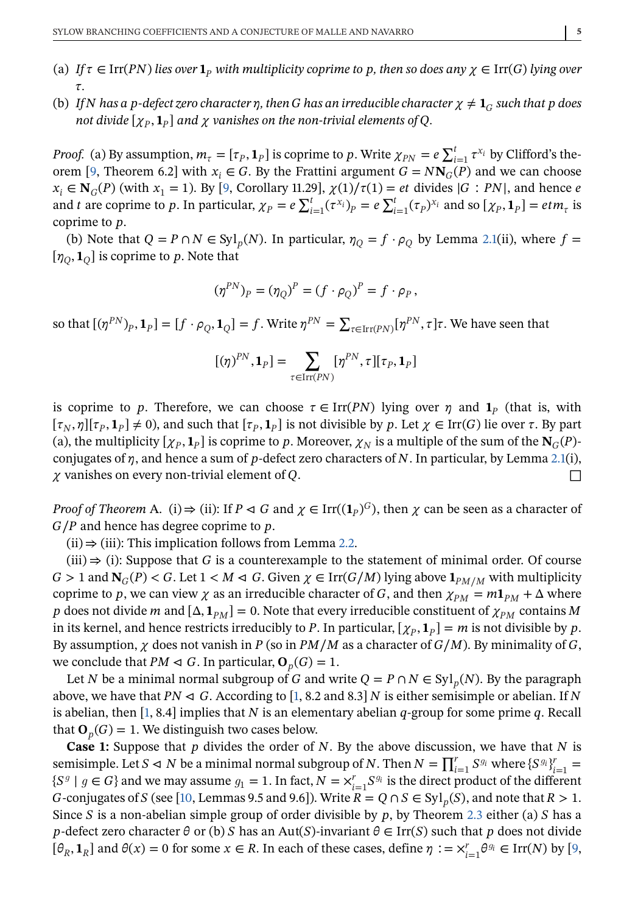- (a) If  $\tau \in \text{Irr}(PN)$  lies over  $\mathbf{1}_p$  with multiplicity coprime to p, then so does any  $\chi \in \text{Irr}(G)$  lying over *.*
- (b) If N has a p-defect zero character  $\eta$ , then G has an irreducible character  $\chi \neq 1_G$  such that p does *not divide*  $[\chi_p, \mathbf{1}_p]$  *and*  $\chi$  *vanishes on the non-trivial elements of Q.*

*Proof.* (a) By assumption,  $m_{\tau} = [\tau_P, 1_P]$  is coprime to p. Write  $\chi_{PN} = e \sum_{i=1}^t \tau^{x_i}$  by Clifford's the-orem [\[9,](#page-15-0) Theorem 6.2] with  $x_i \in G$ . By the Frattini argument  $G = N N_G(P)$  and we can choose  $x_i \in \mathbf{N}_G(P)$  (with  $x_1 = 1$ ). By [\[9,](#page-15-0) Corollary 11.29],  $\chi(1)/\tau(1) = et$  divides  $|G : PN|$ , and hence e and t are coprime to p. In particular,  $\chi_P = e \sum_{i=1}^l (\tau^{x_i})_P = e \sum_{i=1}^l (\tau_P)^{x_i}$  and so  $[\chi_P, \mathbf{1}_P] = \varepsilon t m_\tau$  is coprime to  $p$ .

(b) Note that  $Q = P \cap N \in Syl_p(N)$ . In particular,  $\eta_Q = f \cdot \rho_Q$  by Lemma [2.1\(](#page-2-0)ii), where  $f =$  $[\eta_0, \mathbf{1}_0]$  is coprime to p. Note that

$$
(\eta^{PN})_P = (\eta_Q)^P = (f \cdot \rho_Q)^P = f \cdot \rho_P,
$$

so that  $[(\eta^{PN})_P, 1_P] = [f \cdot \rho_Q, 1_Q] = f$ . Write  $\eta^{PN} = \sum_{\tau \in \text{Irr}(PN)} [\eta^{PN}, \tau] \tau$ . We have seen that

$$
[(\eta)^{PN}, \mathbf{1}_P] = \sum_{\tau \in \text{Irr}(PN)} [\eta^{PN}, \tau][\tau_P, \mathbf{1}_P]
$$

is coprime to p. Therefore, we can choose  $\tau \in \text{Irr}(PN)$  lying over  $\eta$  and  $\mathbf{1}_p$  (that is, with  $[\tau_N, \eta][\tau_p, 1_p] \neq 0$ , and such that  $[\tau_p, 1_p]$  is not divisible by p. Let  $\chi \in \text{Irr}(G)$  lie over  $\tau$ . By part (a), the multiplicity  $[\chi_p, \mathbf{1}_p]$  is coprime to p. Moreover,  $\chi_N$  is a multiple of the sum of the  $N_G(P)$ conjugates of  $\eta$ , and hence a sum of p-defect zero characters of N. In particular, by Lemma [2.1\(](#page-2-0)i),  $\chi$  vanishes on every non-trivial element of Q.

*Proof of Theorem* A. (i)  $\Rightarrow$  (ii): If  $P \triangleleft G$  and  $\chi \in \text{Irr}((1_p)^G)$ , then  $\chi$  can be seen as a character of  $G/P$  and hence has degree coprime to  $p$ .

 $(ii) \Rightarrow (iii)$ : This implication follows from Lemma [2.2.](#page-2-0)

(iii)  $\Rightarrow$  (i): Suppose that G is a counterexample to the statement of minimal order. Of course  $G > 1$  and  $\mathbf{N}_G(P) < G$ . Let  $1 < M \lhd G$ . Given  $\chi \in \text{Irr}(G/M)$  lying above  $\mathbf{1}_{PM/M}$  with multiplicity coprime to p, we can view  $\chi$  as an irreducible character of G, and then  $\chi_{PM} = m \mathbf{1}_{PM} + \Delta$  where p does not divide m and  $[\Delta, 1_{PM}] = 0$ . Note that every irreducible constituent of  $\chi_{PM}$  contains M in its kernel, and hence restricts irreducibly to P. In particular,  $[\chi_p, \mathbf{1}_p] = m$  is not divisible by p. By assumption,  $\chi$  does not vanish in P (so in PM/M as a character of  $G/M$ ). By minimality of G, we conclude that  $PM \triangleleft G$ . In particular,  $\mathbf{O}_p(G) = 1$ .

Let N be a minimal normal subgroup of G and write  $Q = P \cap N \in Syl_p(N)$ . By the paragraph above, we have that  $PN \triangleleft G$ . According to [\[1,](#page-14-0) 8.2 and 8.3] N is either semisimple or abelian. If N is abelian, then [\[1,](#page-14-0) 8.4] implies that N is an elementary abelian  $q$ -group for some prime  $q$ . Recall that  $\mathbf{O}_p(G) = 1$ . We distinguish two cases below.

**Case 1:** Suppose that  $p$  divides the order of  $N$ . By the above discussion, we have that  $N$  is semisimple. Let S  $\triangleleft N$  be a minimal normal subgroup of N. Then  $N = \prod_{i=1}^{r} S^{g_i}$  where  $\{S^{g_i}\}_{i=1}^{r}$  ${S^g \mid g \in G}$  and we may assume  $g_1 = 1$ . In fact,  $N = \frac{x^n}{n-1} S^{g_i}$  is the direct product of the different *G*-conjugates of *S* (see [\[10,](#page-15-0) Lemmas 9.5 and 9.6]). Write  $R = Q \cap S \in \text{Syl}_n(S)$ , and note that  $R > 1$ . Since *S* is a non-abelian simple group of order divisible by  $p$ , by Theorem [2.3](#page-3-0) either (a) *S* has a p-defect zero character  $\theta$  or (b) S has an Aut(S)-invariant  $\theta \in \text{Irr}(S)$  such that p does not divide  $[\theta_R, \mathbf{1}_R]$  and  $\theta(x) = 0$  for some  $x \in R$ . In each of these cases, define  $\eta := x_{i=1}^r \theta^{g_i} \in \text{Irr}(N)$  by [\[9,](#page-15-0)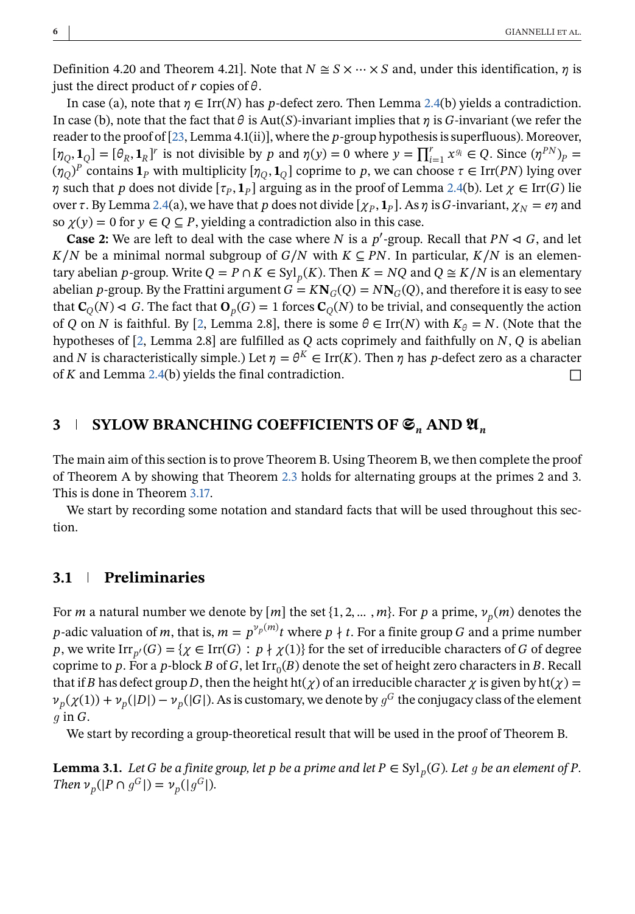<span id="page-5-0"></span>Definition 4.20 and Theorem 4.21]. Note that  $N \cong S \times \cdots \times S$  and, under this identification,  $\eta$  is just the direct product of r copies of  $\theta$ .

In case (a), note that  $\eta \in \text{Irr}(N)$  has p-defect zero. Then Lemma [2.4\(](#page-3-0)b) yields a contradiction. In case (b), note that the fact that  $\theta$  is Aut(S)-invariant implies that  $\eta$  is G-invariant (we refer the reader to the proof of  $[23,$  Lemma 4.1(ii)], where the  $p$ -group hypothesis is superfluous). Moreover,  $[\eta_Q, \mathbf{1}_Q] = [\theta_R, \mathbf{1}_R]^r$  is not divisible by p and  $\eta(y) = 0$  where  $y = \prod_{i=1}^r x^{g_i} \in Q$ . Since  $(\eta^{PN})_P =$  $(\eta_0)^p$  contains  $\mathbf{1}_p$  with multiplicity  $[\eta_0, \mathbf{1}_0]$  coprime to p, we can choose  $\tau \in \text{Irr}(PN)$  lying over  $\eta$  such that p does not divide [ $\tau_p$ ,  $\mathbf{1}_p$ ] arguing as in the proof of Lemma [2.4\(](#page-3-0)b). Let  $\chi \in \text{Irr}(G)$  lie over  $\tau$ . By Lemma [2.4\(](#page-3-0)a), we have that p does not divide  $[\chi_p, \mathbf{1}_p]$ . As  $\eta$  is G-invariant,  $\chi_N = e\eta$  and so  $\chi(y) = 0$  for  $y \in Q \subseteq P$ , yielding a contradiction also in this case.

**Case 2:** We are left to deal with the case where N is a  $p'$ -group. Recall that  $PN \triangleleft G$ , and let  $K/N$  be a minimal normal subgroup of  $G/N$  with  $K \subseteq PN$ . In particular,  $K/N$  is an elementary abelian p-group. Write  $Q = P \cap K \in Syl_n(K)$ . Then  $K = NQ$  and  $Q \cong K/N$  is an elementary abelian p-group. By the Frattini argument  $G = KN_G(Q) = NN_G(Q)$ , and therefore it is easy to see that  $\mathbf{C}_0(N) \triangleleft G$ . The fact that  $\mathbf{O}_p(G) = 1$  forces  $\mathbf{C}_0(N)$  to be trivial, and consequently the action of Q on N is faithful. By [\[2,](#page-14-0) Lemma 2.8], there is some  $\theta \in \text{Irr}(N)$  with  $K_{\theta} = N$ . (Note that the hypotheses of  $[2,$  Lemma 2.8] are fulfilled as Q acts coprimely and faithfully on N, Q is abelian and N is characteristically simple.) Let  $\eta = \theta^K \in \text{Irr}(K)$ . Then  $\eta$  has p-defect zero as a character of K and Lemma [2.4\(](#page-3-0)b) yields the final contradiction.  $□$ 

# **3 SYLOW BRANCHING COEFFICIENTS OF**  $\mathfrak{S}_n$  **AND**  $\mathfrak{A}_n$

The main aim of this section is to prove Theorem B. Using Theorem B, we then complete the proof of Theorem A by showing that Theorem [2.3](#page-3-0) holds for alternating groups at the primes 2 and 3. This is done in Theorem [3.17.](#page-13-0)

We start by recording some notation and standard facts that will be used throughout this section.

## **3.1 Preliminaries**

For *m* a natural number we denote by [*m*] the set {1, 2, ..., *m*}. For *p* a prime,  $v_p(m)$  denotes the p-adic valuation of m, that is,  $m=p^{\nu_p(m)}t$  where  $p\nmid t$ . For a finite group G and a prime number p, we write  $\text{Irr}_{p'}(G) = \{ \chi \in \text{Irr}(G) : p \nmid \chi(1) \}$  for the set of irreducible characters of G of degree coprime to p. For a p-block B of G, let  $\text{Irr}_0(B)$  denote the set of height zero characters in B. Recall that if B has defect group D, then the height ht( $\chi$ ) of an irreducible character  $\chi$  is given by ht( $\chi$ ) =  $\nu_p(\chi(1)) + \nu_p(|D|) - \nu_p(|G|)$ . As is customary, we denote by  $g^G$  the conjugacy class of the element  $q$  in  $G$ .

We start by recording a group-theoretical result that will be used in the proof of Theorem B.

**Lemma 3.1.** *Let G be a finite group, let p be a prime and let*  $P \in \text{Syl}_n(G)$ *. Let g be an element of*  $P$ *. Then*  $\nu_p(|P \cap g^G|) = \nu_p(|g^G|)$ .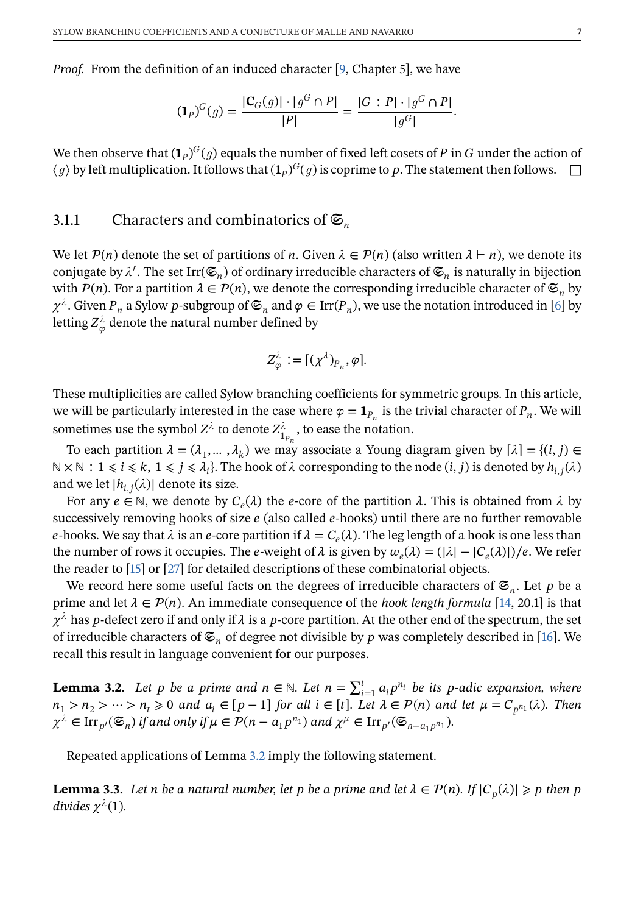<span id="page-6-0"></span>*Proof.* From the definition of an induced character [\[9,](#page-15-0) Chapter 5], we have

$$
(\mathbf{1}_P)^G(g) = \frac{|\mathbf{C}_G(g)| \cdot |g^G \cap P|}{|P|} = \frac{|G : P| \cdot |g^G \cap P|}{|g^G|}.
$$

We then observe that  $(\mathbf{1}_p)^G(q)$  equals the number of fixed left cosets of P in G under the action of  $\langle g \rangle$  by left multiplication. It follows that  $(\mathbf{1}_p)^G(g)$  is coprime to p. The statement then follows.  $\square$ 

## 3.1.1 Characters and combinatorics of  $\mathfrak{S}_n$

We let  $P(n)$  denote the set of partitions of n. Given  $\lambda \in P(n)$  (also written  $\lambda \vdash n$ ), we denote its conjugate by  $\lambda'$ . The set Irr( $\mathfrak{S}_n$ ) of ordinary irreducible characters of  $\mathfrak{S}_n$  is naturally in bijection with  $P(n)$ . For a partition  $\lambda \in P(n)$ , we denote the corresponding irreducible character of  $\mathfrak{S}_n$  by  $\chi^{\lambda}$ . Given  $P_n$  a Sylow p-subgroup of  $\mathfrak{S}_n$  and  $\varphi \in \text{Irr}(P_n)$ , we use the notation introduced in [\[6\]](#page-15-0) by letting  $Z_\varphi^\lambda$  denote the natural number defined by

$$
Z_{\varphi}^{\lambda} := [(\chi^{\lambda})_{P_n}, \varphi].
$$

These multiplicities are called Sylow branching coefficients for symmetric groups. In this article, we will be particularly interested in the case where  $\varphi = \mathbf{1}_{P_n}$  is the trivial character of  $P_n$ . We will sometimes use the symbol  $Z^{\lambda}$  to denote  $Z^{\lambda}_{1_{P_n}}$ , to ease the notation.

To each partition  $\lambda = (\lambda_1, ..., \lambda_k)$  we may associate a Young diagram given by  $[\lambda] = \{(i, j) \in$  $\forall x \in \mathbb{N} : 1 \leq i \leq k$ ,  $1 \leq j \leq \lambda_i$ . The hook of  $\lambda$  corresponding to the node  $(i, j)$  is denoted by  $h_{i,j}(\lambda)$ and we let  $|h_{i,j}(\lambda)|$  denote its size.

For any  $e \in \mathbb{N}$ , we denote by  $C_e(\lambda)$  the *e*-core of the partition  $\lambda$ . This is obtained from  $\lambda$  by successively removing hooks of size  $e$  (also called  $e$ -hooks) until there are no further removable e-hooks. We say that  $\lambda$  is an e-core partition if  $\lambda = C_e(\lambda)$ . The leg length of a hook is one less than the number of rows it occupies. The e-weight of  $\lambda$  is given by  $w_e(\lambda) = (|\lambda| - |C_e(\lambda)|)/e$ . We refer the reader to [\[15\]](#page-15-0) or [\[27\]](#page-15-0) for detailed descriptions of these combinatorial objects.

We record here some useful facts on the degrees of irreducible characters of  $\mathfrak{S}_n$ . Let p be a prime and let  $\lambda \in \mathcal{P}(n)$ . An immediate consequence of the *hook length formula* [\[14,](#page-15-0) 20.1] is that  $\chi^{\lambda}$  has p-defect zero if and only if  $\lambda$  is a p-core partition. At the other end of the spectrum, the set of irreducible characters of  $\mathfrak{S}_n$  of degree not divisible by p was completely described in [\[16\]](#page-15-0). We recall this result in language convenient for our purposes.

**Lemma 3.2.** Let p be a prime and  $n \in \mathbb{N}$ . Let  $n = \sum_{i=1}^{t} a_i p^{n_i}$  be its p-adic expansion, where  $n_1 > n_2 > \cdots > n_t \geq 0$  and  $a_i \in [p-1]$  for all  $i \in [t]$ . Let  $\lambda \in \mathcal{P}(n)$  and let  $\mu = C_{p^{n_1}}(\lambda)$ . Then  $\chi^{\lambda} \in \text{Irr}_{p'}(\mathfrak{S}_n)$  *if and only if*  $\mu \in \mathcal{P}(n - a_1 p^{n_1})$  *and*  $\chi^{\mu} \in \text{Irr}_{p'}(\mathfrak{S}_{n - a_1 p^{n_1}})$ *.* 

Repeated applications of Lemma 3.2 imply the following statement.

**Lemma 3.3.** *Let n* be a natural number, let *p* be a prime and let  $\lambda \in \mathcal{P}(n)$ . If  $|C_n(\lambda)| \geq p$  then *p divides*  $\chi^{\lambda}(1)$ *.*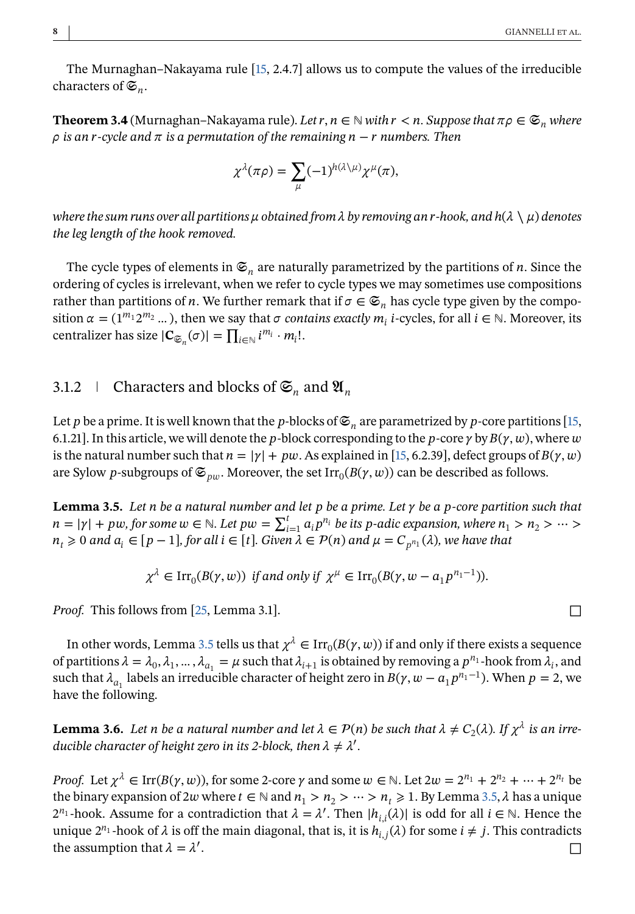<span id="page-7-0"></span>The Murnaghan–Nakayama rule [\[15,](#page-15-0) 2.4.7] allows us to compute the values of the irreducible characters of  $\mathfrak{S}_n$ .

**Theorem 3.4** (Murnaghan–Nakayama rule). Let r,  $n \in \mathbb{N}$  with  $r < n$ . Suppose that  $\pi \rho \in \mathfrak{S}_n$  where  $ρ$  *is an r-cycle and*  $π$  *is a permutation of the remaining n – r numbers. Then* 

$$
\chi^{\lambda}(\pi \rho) = \sum_{\mu} (-1)^{h(\lambda \setminus \mu)} \chi^{\mu}(\pi),
$$

*where the sum runs over all partitions*  $\mu$  *obtained from*  $\lambda$  *by removing an r-hook, and*  $h(\lambda \setminus \mu)$  *denotes the leg length of the hook removed.*

The cycle types of elements in  $\mathfrak{S}_n$  are naturally parametrized by the partitions of *n*. Since the ordering of cycles is irrelevant, when we refer to cycle types we may sometimes use compositions rather than partitions of *n*. We further remark that if  $\sigma \in \mathfrak{S}_n$  has cycle type given by the composition  $\alpha = (1^{m_1} 2^{m_2} ...)$ , then we say that  $\sigma$  contains exactly  $m_i$  *i*-cycles, for all  $i \in \mathbb{N}$ . Moreover, its centralizer has size  $|\mathbf{C}_{\mathfrak{S}_n}(\sigma)| = \prod_{i \in \mathbb{N}} i^{m_i} \cdot m_i!$ .

# 3.1.2 Characters and blocks of  $\mathfrak{S}_n$  and  $\mathfrak{A}_n$

Let p be a prime. It is well known that the p-blocks of  $\mathfrak{S}_n$  are parametrized by p-core partitions [\[15,](#page-15-0) 6.1.21]. In this article, we will denote the p-block corresponding to the p-core  $\gamma$  by  $B(\gamma, w)$ , where  $w$ is the natural number such that  $n = |\gamma| + pw$ . As explained in [\[15,](#page-15-0) 6.2.39], defect groups of  $B(\gamma, w)$ are Sylow p-subgroups of  $\mathfrak{S}_{n\omega}$ . Moreover, the set Irr<sub>0</sub>( $B(\gamma, \omega)$ ) can be described as follows.

**Lemma 3.5.** Let  $n$  be a natural number and let  $p$  be a prime. Let  $\gamma$  be a  $p$ -core partition such that  $n = |\gamma| + pw$ , for some  $w \in \mathbb{N}$ . Let  $pw = \sum_{i=1}^{t} a_i p^{n_i}$  be its p-adic expansion, where  $n_1 > n_2 > \cdots >$  $n_t$  ≥ 0 and  $a_i$  ∈ [p − 1], for all  $i$  ∈ [t]. Given  $\lambda$  ∈ P(n) and  $\mu$  = C<sub>p<sup>n<sub>1</sub></sub>( $\lambda$ ), we have that</sub></sup>

$$
\chi^{\lambda} \in \text{Irr}_{0}(B(\gamma, w)) \text{ if and only if } \chi^{\mu} \in \text{Irr}_{0}(B(\gamma, w - a_{1}p^{n_{1}-1})).
$$

*Proof.* This follows from [\[25,](#page-15-0) Lemma 3.1].  $\square$ 

In other words, Lemma 3.5 tells us that  $\chi^{\lambda} \in \text{Irr}_0(B(\gamma, w))$  if and only if there exists a sequence of partitions  $\lambda = \lambda_0, \lambda_1, \dots, \lambda_{a_1} = \mu$  such that  $\lambda_{i+1}$  is obtained by removing a  $p^{n_1}$ -hook from  $\lambda_i$ , and such that  $\lambda_{a_1}$  labels an irreducible character of height zero in  $B(\gamma, w - a_1p^{n_1-1})$ . When  $p = 2$ , we have the following.

**Lemma 3.6.** Let *n* be a natural number and let  $\lambda \in P(n)$  be such that  $\lambda \neq C_2(\lambda)$ . If  $\chi^{\lambda}$  is an irre*ducible character of height zero in its 2-block, then*  $\lambda \neq \lambda'$ *.* 

*Proof.* Let  $\chi^{\lambda} \in \text{Irr}(B(\gamma, w))$ , for some 2-core  $\gamma$  and some  $w \in \mathbb{N}$ . Let  $2w = 2^{n_1} + 2^{n_2} + \cdots + 2^{n_t}$  be the binary expansion of 2w where  $t \in \mathbb{N}$  and  $n_1 > n_2 > \cdots > n_t \ge 1$ . By Lemma 3.5,  $\lambda$  has a unique  $2^{n_1}$ -hook. Assume for a contradiction that  $\lambda = \lambda'$ . Then  $|h_{i,i}(\lambda)|$  is odd for all  $i \in \mathbb{N}$ . Hence the unique  $2^{n_1}$ -hook of  $\lambda$  is off the main diagonal, that is, it is  $h_{i,j}(\lambda)$  for some  $i \neq j$ . This contradicts the assumption that  $\lambda = \lambda'$ . . The contract of the contract of the contract of  $\Box$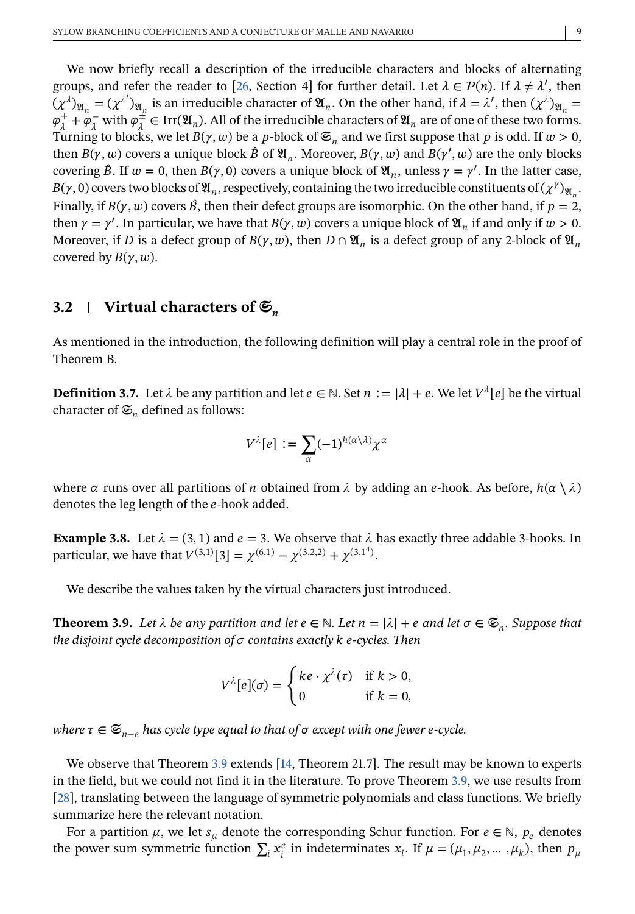<span id="page-8-0"></span>We now briefly recall a description of the irreducible characters and blocks of alternating groups, and refer the reader to [\[26,](#page-15-0) Section 4] for further detail. Let  $\lambda \in \mathcal{P}(n)$ . If  $\lambda \neq \lambda'$ , then  $(\chi^{\lambda})_{\mathfrak{A}_{n}} = (\chi^{\lambda'})_{\mathfrak{A}_{n}}$  is an irreducible character of  $\mathfrak{A}_{n}$ . On the other hand, if  $\lambda = \lambda'$ , then  $(\chi^{\lambda})_{\mathfrak{A}_{n}} =$  $\varphi_{\lambda}^+ + \varphi_{\lambda}^-$  with  $\varphi_{\lambda}^+ \in \text{Irr}(\mathfrak{A}_n)$ . All of the irreducible characters of  $\mathfrak{A}_n$  are of one of these two forms. Turning to blocks, we let  $B(\gamma, w)$  be a p-block of  $\mathfrak{S}_n$  and we first suppose that p is odd. If  $w > 0$ , then  $B(\gamma, w)$  covers a unique block  $\hat{B}$  of  $\mathfrak{A}_n$ . Moreover,  $B(\gamma, w)$  and  $B(\gamma', w)$  are the only blocks covering  $\hat{B}$ . If  $w = 0$ , then  $B(\gamma, 0)$  covers a unique block of  $\mathfrak{A}_n$ , unless  $\gamma = \gamma'$ . In the latter case,  $B(\gamma, 0)$  covers two blocks of  $\mathfrak{A}_n$ , respectively, containing the two irreducible constituents of  $(\chi^{\gamma})_{\mathfrak{A}_n}$ . Finally, if  $B(\gamma, w)$  covers  $\hat{B}$ , then their defect groups are isomorphic. On the other hand, if  $p = 2$ , then  $\gamma = \gamma'$ . In particular, we have that  $B(\gamma, w)$  covers a unique block of  $\mathfrak{A}_n$  if and only if  $w > 0$ . Moreover, if D is a defect group of  $B(\gamma, w)$ , then  $D \cap \mathfrak{A}_n$  is a defect group of any 2-block of  $\mathfrak{A}_n$ covered by  $B(\gamma, w)$ .

# **3.2 Virtual characters of**  $\mathfrak{S}_n$

As mentioned in the introduction, the following definition will play a central role in the proof of Theorem B.

**Definition 3.7.** Let  $\lambda$  be any partition and let  $e \in \mathbb{N}$ . Set  $n := |\lambda| + e$ . We let  $V^{\lambda}[e]$  be the virtual character of  $\mathfrak{S}_n$  defined as follows:

$$
V^{\lambda}[e] := \sum_{\alpha} (-1)^{h(\alpha \setminus \lambda)} \chi^{\alpha}
$$

where  $\alpha$  runs over all partitions of *n* obtained from  $\lambda$  by adding an *e*-hook. As before,  $h(\alpha \setminus \lambda)$ denotes the leg length of the e-hook added.

**Example 3.8.** Let  $\lambda = (3, 1)$  and  $e = 3$ . We observe that  $\lambda$  has exactly three addable 3-hooks. In particular, we have that  $V^{(3,1)}[3] = \chi^{(6,1)} - \chi^{(3,2,2)} + \chi^{(3,1^4)}$ .

We describe the values taken by the virtual characters just introduced.

**Theorem 3.9.** Let  $\lambda$  be any partition and let  $e \in \mathbb{N}$ . Let  $n = |\lambda| + e$  and let  $\sigma \in \mathfrak{S}_n$ . Suppose that *the disjoint cycle decomposition of*  $\sigma$  *contains exactly k e-cycles. Then* 

$$
V^{\lambda}[e](\sigma) = \begin{cases} ke \cdot \chi^{\lambda}(\tau) & \text{if } k > 0, \\ 0 & \text{if } k = 0, \end{cases}
$$

*where*  $τ ∈ ⊗_{n-e}$  *has cycle type equal to that of*  $σ$  *except with one fewer e-cycle.* 

We observe that Theorem 3.9 extends [\[14,](#page-15-0) Theorem 21.7]. The result may be known to experts in the field, but we could not find it in the literature. To prove Theorem 3.9, we use results from [\[28\]](#page-15-0), translating between the language of symmetric polynomials and class functions. We briefly summarize here the relevant notation.

For a partition  $\mu$ , we let  $s_{\mu}$  denote the corresponding Schur function. For  $e \in \mathbb{N}$ ,  $p_e$  denotes the power sum symmetric function  $\sum_i x_i^e$  in indeterminates  $x_i$ . If  $\mu = (\mu_1, \mu_2, ..., \mu_k)$ , then  $p_\mu$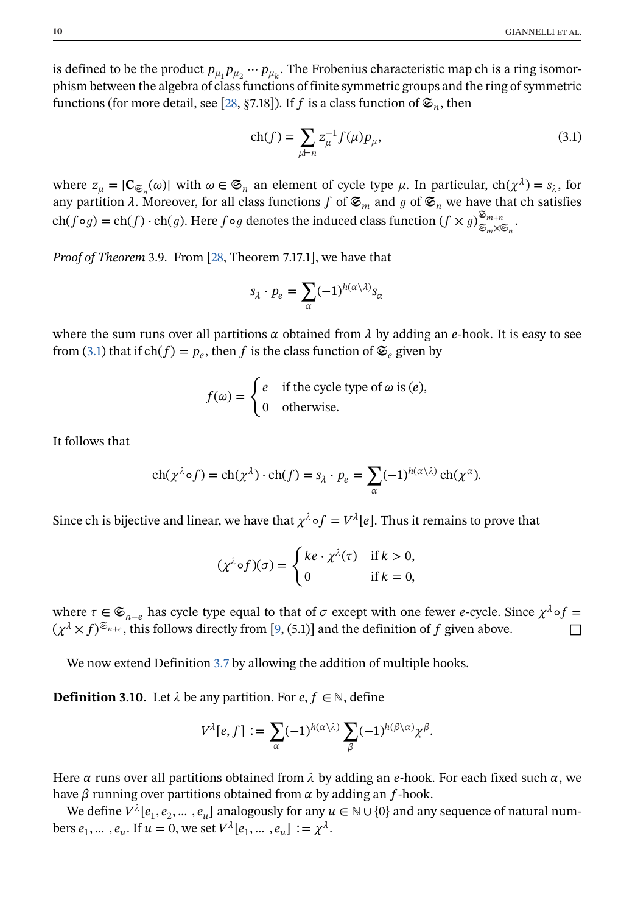<span id="page-9-0"></span>is defined to be the product  $p_{\mu_1}p_{\mu_2}\cdots p_{\mu_k}$ . The Frobenius characteristic map ch is a ring isomorphism between the algebra of class functions of finite symmetric groups and the ring of symmetric functions (for more detail, see [\[28,](#page-15-0) §7.18]). If f is a class function of  $\mathfrak{S}_n$ , then

$$
ch(f) = \sum_{\mu \vdash n} z_{\mu}^{-1} f(\mu) p_{\mu},
$$
\n(3.1)

where  $z_{\mu} = |C_{\mathfrak{S}_{\mu}}(\omega)|$  with  $\omega \in \mathfrak{S}_n$  an element of cycle type  $\mu$ . In particular,  $\text{ch}(\chi^{\lambda}) = s_{\lambda}$ , for any partition  $\lambda$ . Moreover, for all class functions f of  $\mathfrak{S}_m$  and g of  $\mathfrak{S}_n$  we have that ch satisfies ch(f og) = ch(f) · ch(g). Here f og denotes the induced class function  $(f \times g)_{\alpha}^{\mathfrak{S}_{m+n}}$  $\mathfrak{S}_{m+\kappa}^{\mathfrak{m}+n}$ 

*Proof of Theorem* 3.9. From [\[28,](#page-15-0) Theorem 7.17.1], we have that

$$
s_{\lambda} \cdot p_e = \sum_{\alpha} (-1)^{h(\alpha \setminus \lambda)} s_{\alpha}
$$

where the sum runs over all partitions  $\alpha$  obtained from  $\lambda$  by adding an e-hook. It is easy to see from (3.1) that if  $\text{ch}(f) = p_e$ , then f is the class function of  $\mathfrak{S}_e$  given by

$$
f(\omega) = \begin{cases} e & \text{if the cycle type of } \omega \text{ is } (e), \\ 0 & \text{otherwise.} \end{cases}
$$

It follows that

$$
ch(\chi^{\lambda} \circ f) = ch(\chi^{\lambda}) \cdot ch(f) = s_{\lambda} \cdot p_e = \sum_{\alpha} (-1)^{h(\alpha \setminus \lambda)} ch(\chi^{\alpha}).
$$

Since ch is bijective and linear, we have that  $\chi^{\lambda} \circ f = V^{\lambda}[\rho]$ . Thus it remains to prove that

$$
(\chi^{\lambda} \circ f)(\sigma) = \begin{cases} ke \cdot \chi^{\lambda}(\tau) & \text{if } k > 0, \\ 0 & \text{if } k = 0, \end{cases}
$$

where  $\tau \in \mathfrak{S}_{n-e}$  has cycle type equal to that of  $\sigma$  except with one fewer e-cycle. Since  $\chi^{\lambda} \circ f =$  $(\chi^{\lambda} \times f)^{\mathfrak{S}_{n+\epsilon}}$ , this follows directly from [\[9,](#page-15-0) (5.1)] and the definition of f given above.

We now extend Definition [3.7](#page-8-0) by allowing the addition of multiple hooks.

**Definition 3.10.** Let  $\lambda$  be any partition. For  $e, f \in \mathbb{N}$ , define

$$
V^{\lambda}[e,f] := \sum_{\alpha} (-1)^{h(\alpha \setminus \lambda)} \sum_{\beta} (-1)^{h(\beta \setminus \alpha)} \chi^{\beta}.
$$

Here  $\alpha$  runs over all partitions obtained from  $\lambda$  by adding an e-hook. For each fixed such  $\alpha$ , we have  $\beta$  running over partitions obtained from  $\alpha$  by adding an f-hook.

We define  $V^{\lambda}[e_1, e_2, \dots, e_u]$  analogously for any  $u \in \mathbb{N} \cup \{0\}$  and any sequence of natural numbers  $e_1, \ldots, e_u$ . If  $u = 0$ , we set  $V^{\lambda}[e_1, \ldots, e_u] := \chi^{\lambda}$ .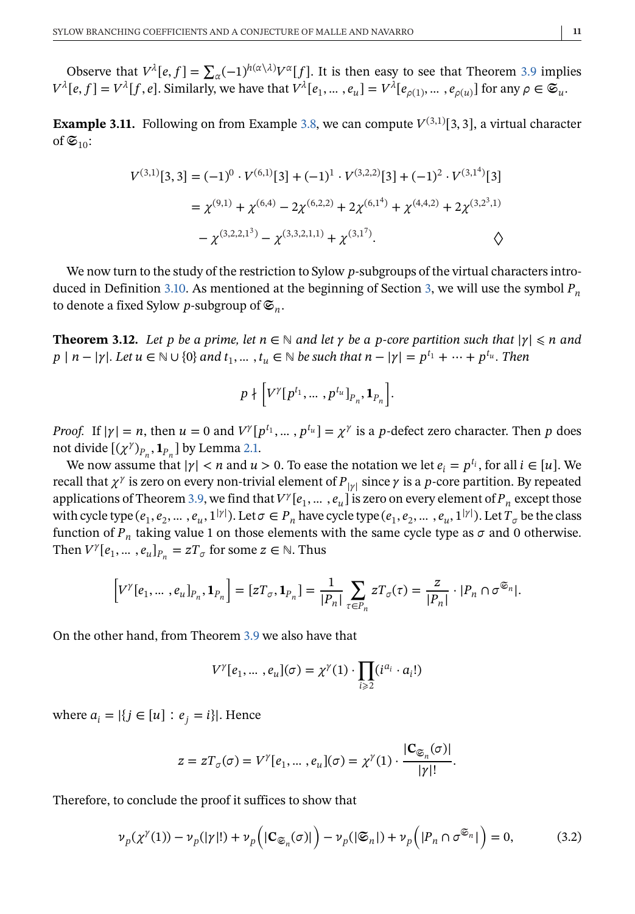<span id="page-10-0"></span>Observe that  $V^{\lambda}[e, f] = \sum_{\alpha} (-1)^{h(\alpha \setminus \lambda)} V^{\alpha}[f]$ . It is then easy to see that Theorem [3.9](#page-8-0) implies  $V^{\lambda}[e, f] = V^{\lambda}[f, e]$ . Similarly, we have that  $V^{\lambda}[e_1, \dots, e_u] = V^{\lambda}[e_{\rho(1)}, \dots, e_{\rho(u)}]$  for any  $\rho \in \mathfrak{S}_u$ .

**Example 3.11.** Following on from Example [3.8,](#page-8-0) we can compute  $V^{(3,1)}[3,3]$ , a virtual character of  $\mathfrak{S}_{10}$ :

$$
V^{(3,1)}[3,3] = (-1)^0 \cdot V^{(6,1)}[3] + (-1)^1 \cdot V^{(3,2,2)}[3] + (-1)^2 \cdot V^{(3,1^4)}[3]
$$
  
=  $\chi^{(9,1)} + \chi^{(6,4)} - 2\chi^{(6,2,2)} + 2\chi^{(6,1^4)} + \chi^{(4,4,2)} + 2\chi^{(3,2^3,1)}$   
 $-\chi^{(3,2,2,1^3)} - \chi^{(3,3,2,1,1)} + \chi^{(3,1^7)}.$ 

We now turn to the study of the restriction to Sylow  $p$ -subgroups of the virtual characters intro-duced in Definition [3.10.](#page-9-0) As mentioned at the beginning of Section [3,](#page-5-0) we will use the symbol  $P_n$ to denote a fixed Sylow p-subgroup of  $\mathfrak{S}_n$ .

**Theorem 3.12.** Let p be a prime, let  $n \in \mathbb{N}$  and let  $\gamma$  be a p-core partition such that  $|\gamma| \le n$  and  $|p| |n-|y|$ . Let  $u \in \mathbb{N} \cup \{0\}$  and  $t_1, \ldots, t_n \in \mathbb{N}$  be such that  $n-|y| = p^{t_1} + \cdots + p^{t_u}$ . Then

$$
p\nmid \left[V^{\gamma}[p^{t_1},\ldots,p^{t_u}]_{P_n},\mathbf{1}_{P_n}\right].
$$

*Proof.* If  $|\gamma| = n$ , then  $u = 0$  and  $V^{\gamma}[p^{t_1}, \dots, p^{t_u}] = \chi^{\gamma}$  is a p-defect zero character. Then p does not divide  $[(\chi^{\gamma})_{P_n}, \mathbf{1}_{P_n}]$  by Lemma [2.1.](#page-2-0)

We now assume that  $|\gamma| < n$  and  $u > 0$ . To ease the notation we let  $e_i = p^{t_i}$ , for all  $i \in [u]$ . We recall that  $\chi^{\gamma}$  is zero on every non-trivial element of  $P_{|\gamma|}$  since  $\gamma$  is a p-core partition. By repeated applications of Theorem [3.9,](#page-8-0) we find that  $V^{\gamma}[e_1, ..., e_u]$  is zero on every element of  $P_n$  except those with cycle type  $(e_1, e_2, ..., e_u, 1^{|\gamma|})$ . Let  $\sigma \in P_n$  have cycle type  $(e_1, e_2, ..., e_u, 1^{|\gamma|})$ . Let  $T_{\sigma}$  be the class function of  $P_n$  taking value 1 on those elements with the same cycle type as  $\sigma$  and 0 otherwise. Then  $V^{\gamma}[e_1, \ldots, e_u]_{P_n} = zT_{\sigma}$  for some  $z \in \mathbb{N}$ . Thus

$$
\left[V^{\gamma}[e_1,\ldots,e_u]_{P_n},\mathbf{1}_{P_n}\right]=\left[zT_{\sigma},\mathbf{1}_{P_n}\right]=\frac{1}{|P_n|}\sum_{\tau\in P_n}zT_{\sigma}(\tau)=\frac{z}{|P_n|}\cdot |P_n\cap \sigma^{\mathfrak{S}_n}|.
$$

On the other hand, from Theorem [3.9](#page-8-0) we also have that

$$
V^{\gamma}[e_1,\ldots,e_u](\sigma)=\chi^{\gamma}(1)\cdot\prod_{i\geqslant 2}(i^{a_i}\cdot a_i!)
$$

where  $a_i = |\{ j \in [u] : e_j = i \}|$ . Hence

$$
z = zT_{\sigma}(\sigma) = V^{\gamma}[e_1, \dots, e_u](\sigma) = \chi^{\gamma}(1) \cdot \frac{|\mathbf{C}_{\mathfrak{S}_n}(\sigma)|}{|\gamma|!}.
$$

Therefore, to conclude the proof it suffices to show that

$$
\nu_p(\chi^{\gamma}(1)) - \nu_p(|\gamma|!) + \nu_p\left(|\mathbf{C}_{\mathfrak{S}_n}(\sigma)|\right) - \nu_p(|\mathfrak{S}_n|) + \nu_p\left(|P_n \cap \sigma^{\mathfrak{S}_n}|\right) = 0,\tag{3.2}
$$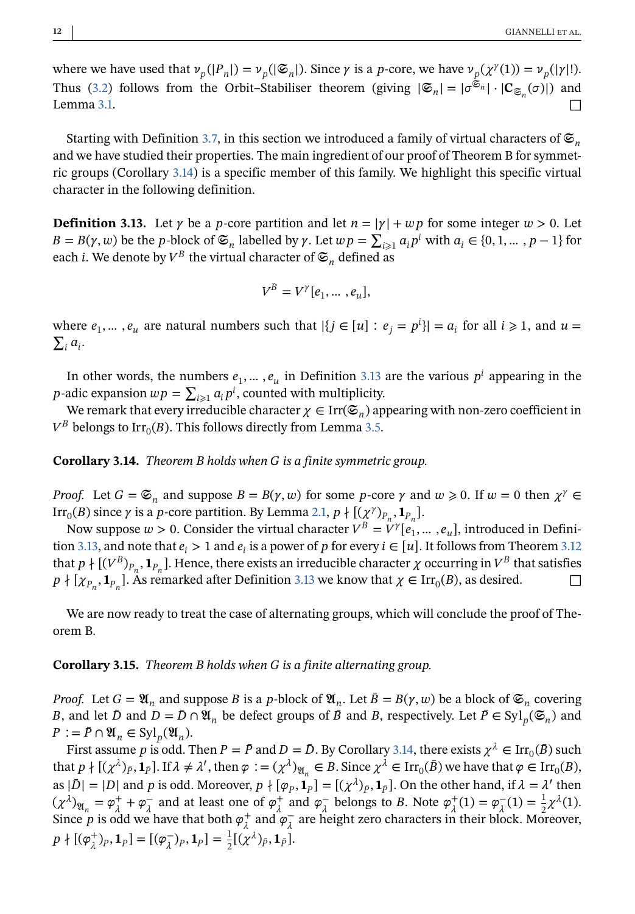<span id="page-11-0"></span>where we have used that  $\nu_p(|P_n|) = \nu_p(|\mathfrak{S}_n|)$ . Since  $\gamma$  is a p-core, we have  $\nu_p(\chi^{\gamma}(1)) = \nu_p(|\gamma|!)$ . Thus [\(3.2\)](#page-10-0) follows from the Orbit–Stabiliser theorem (giving  $|\mathfrak{S}_n| = |\sigma^{\mathfrak{S}_n}| \cdot |\mathbf{C}_{\mathfrak{S}_n}(\sigma)|$ ) and Lemma 3.1. Lemma [3.1.](#page-5-0)  $\Box$ 

Starting with Definition [3.7,](#page-8-0) in this section we introduced a family of virtual characters of  $\mathfrak{S}_n$ and we have studied their properties. The main ingredient of our proof of Theorem B for symmetric groups (Corollary 3.14) is a specific member of this family. We highlight this specific virtual character in the following definition.

**Definition 3.13.** Let  $\gamma$  be a p-core partition and let  $n = |\gamma| + wp$  for some integer  $w > 0$ . Let  $B = B(\gamma, w)$  be the p-block of  $\mathfrak{S}_n$  labelled by  $\gamma$ . Let  $wp = \sum_{i \geq 1} a_i p^i$  with  $a_i \in \{0, 1, ..., p-1\}$  for each *i*. We denote by  $V^B$  the virtual character of  $\mathfrak{S}_n$  defined as

$$
V^B = V^{\gamma}[e_1, \dots, e_u],
$$

where  $e_1, ..., e_u$  are natural numbers such that  $|\{j \in [u] : e_j = p^i\}| = a_i$  for all  $i \ge 1$ , and  $u = \sum_{i=1}^{n} a_i$  $\sum_i a_i$ .

In other words, the numbers  $e_1, ..., e_u$  in Definition 3.13 are the various  $p^i$  appearing in the *p*-adic expansion  $wp = \sum_{i \geq 1} a_i p^i$ , counted with multiplicity.

We remark that every irreducible character  $\chi \in \text{Irr}(\mathfrak{S}_n)$  appearing with non-zero coefficient in  $V^B$  belongs to Irr<sub>0</sub>(B). This follows directly from Lemma [3.5.](#page-7-0)

**Corollary 3.14.** *Theorem B holds when is a finite symmetric group.*

*Proof.* Let  $G = \mathfrak{S}_n$  and suppose  $B = B(\gamma, w)$  for some p-core  $\gamma$  and  $w \ge 0$ . If  $w = 0$  then  $\chi^{\gamma} \in$ Irr<sub>0</sub>(B) since  $\gamma$  is a p-core partition. By Lemma [2.1,](#page-2-0)  $p \nmid [(\chi^{\gamma})_{P_{\gamma}}, \mathbf{1}_{P_{\gamma}}].$ 

Now suppose  $w > 0$ . Consider the virtual character  $V^B = V^{\gamma}[e_1, ..., e_u]$ , introduced in Definition 3.13, and note that  $e_i > 1$  and  $e_i$  is a power of p for every  $i \in [u]$ . It follows from Theorem [3.12](#page-10-0) that  $p \nmid [(V^B)_{P_n}, \mathbf{1}_{P_n}]$ . Hence, there exists an irreducible character  $\chi$  occurring in  $V^B$  that satisfies  $p \nmid [\chi_{P_n}, \mathbf{1}_{P_n}]$ . As remarked after Definition 3.13 we know that  $\chi \in \text{Irr}_0(B)$ , as desired.  $\square$ 

We are now ready to treat the case of alternating groups, which will conclude the proof of Theorem B.

**Corollary 3.15.** *Theorem B holds when is a finite alternating group.*

*Proof.* Let  $G = \mathfrak{A}_n$  and suppose B is a p-block of  $\mathfrak{A}_n$ . Let  $\bar{B} = B(\gamma, w)$  be a block of  $\mathfrak{S}_n$  covering *B*, and let  $\bar{D}$  and  $D = \bar{D} \cap \mathfrak{A}_n$  be defect groups of  $\bar{B}$  and *B*, respectively. Let  $\bar{P} \in \text{Syl}_p(\mathfrak{S}_n)$  and  $P := \overline{P} \cap \mathfrak{A}_n \in \mathrm{Syl}_n(\mathfrak{A}_n).$ 

First assume p is odd. Then  $P = \overline{P}$  and  $D = \overline{D}$ . By Corollary 3.14, there exists  $\chi^{\lambda} \in \text{Irr}_0(\overline{B})$  such that  $p + [(\chi^{\lambda})_{\bar{p}}, \mathbf{1}_{\bar{p}}]$ . If  $\lambda \neq \lambda'$ , then  $\varphi := (\chi^{\lambda})_{\mathfrak{A}_n} \in B$ . Since  $\chi^{\lambda} \in \text{Irr}_0(\bar{B})$  we have that  $\varphi \in \text{Irr}_0(B)$ , as  $|\bar{D}| = |D|$  and p is odd. Moreover,  $p \nmid [\varphi_p, \mathbf{1}_p] = [(\chi^{\lambda})_{\bar{p}}, \mathbf{1}_{\bar{p}}]$ . On the other hand, if  $\lambda = \lambda'$  then  $(\chi^{\lambda})_{\mathfrak{A}_n} = \varphi_{\lambda}^+ + \varphi_{\lambda}^-$  and at least one of  $\varphi_{\lambda}^+$  and  $\varphi_{\lambda}^-$  belongs to *B*. Note  $\varphi_{\lambda}^+(1) = \varphi_{\lambda}^-(1) = \frac{1}{2}\chi^{\lambda}(1)$ . Since p is odd we have that both  $\varphi_{\lambda}^{+}$  and  $\varphi_{\lambda}^{-}$  are height zero characters in their block. Moreover,  $p + [(\varphi_{\lambda}^{+})_P, \mathbf{1}_P] = [(\varphi_{\lambda}^{-})_P, \mathbf{1}_P] = \frac{1}{2} [(\chi^{\lambda})_{\bar{P}}, \mathbf{1}_{\bar{P}}].$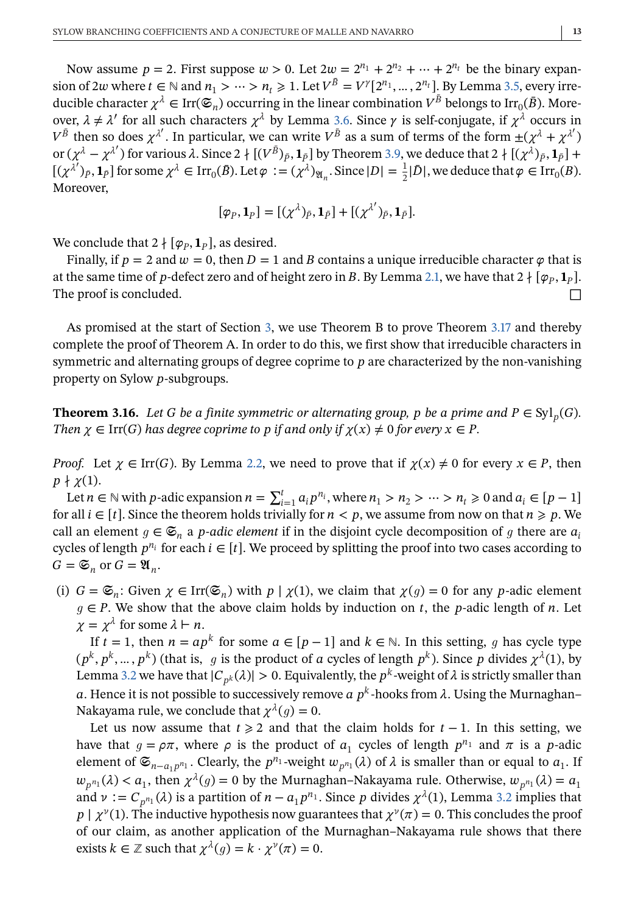<span id="page-12-0"></span>Now assume  $p = 2$ . First suppose  $w > 0$ . Let  $2w = 2^{n_1} + 2^{n_2} + \cdots + 2^{n_t}$  be the binary expansion of 2w where  $t \in \mathbb{N}$  and  $n_1 > \cdots > n_t \ge 1$ . Let  $V^{\bar{B}} = V^{\gamma}[2^{n_1}, \ldots, 2^{n_t}]$ . By Lemma [3.5,](#page-7-0) every irreducible character  $\chi^{\lambda} \in \text{Irr}(\mathfrak{S}_n)$  occurring in the linear combination  $V^{\bar{B}}$  belongs to Irr<sub>0</sub>( $\bar{B}$ ). Moreover,  $\lambda \neq \lambda'$  for all such characters  $\chi^{\lambda}$  by Lemma [3.6.](#page-7-0) Since  $\gamma$  is self-conjugate, if  $\chi^{\lambda}$  occurs in  $V^{\bar{B}}$  then so does  $\chi^{\lambda'}$ . In particular, we can write  $V^{\bar{B}}$  as a sum of terms of the form  $\pm(\chi^{\lambda}+\chi^{\lambda'})$ or  $(\chi^{\lambda} - \chi^{\lambda'})$  for various  $\lambda$ . Since  $2 \nmid [(V^{\bar{B}})_{\bar{P}}, \mathbf{1}_{\bar{P}}]$  by Theorem [3.9,](#page-8-0) we deduce that  $2 \nmid [(\chi^{\lambda})_{\bar{P}}, \mathbf{1}_{\bar{P}}] +$  $[(\chi^{\lambda'})_{\bar{P}}, 1_{\bar{P}}]$  for some  $\chi^{\lambda} \in \text{Irr}_0(\bar{B})$ . Let  $\varphi := (\chi^{\lambda})_{\mathfrak{A}_n}$ . Since  $|D| = \frac{1}{2}|\bar{D}|$ , we deduce that  $\varphi \in \text{Irr}_0(B)$ . Moreover,

$$
[\varphi_P, \mathbf{1}_P] = [(\chi^\lambda)_{\bar{P}}, \mathbf{1}_{\bar{P}}] + [(\chi^{\lambda'})_{\bar{P}}, \mathbf{1}_{\bar{P}}].
$$

We conclude that  $2 \nmid [\varphi_P, \mathbf{1}_P]$ , as desired.

Finally, if  $p = 2$  and  $w = 0$ , then  $D = 1$  and B contains a unique irreducible character  $\varphi$  that is at the same time of p-defect zero and of height zero in B. By Lemma [2.1,](#page-2-0) we have that  $2 \nmid [\varphi_P, \mathbf{1}_P]$ . The proof is concluded.  $\Box$ 

As promised at the start of Section [3,](#page-5-0) we use Theorem B to prove Theorem [3.17](#page-13-0) and thereby complete the proof of Theorem A. In order to do this, we first show that irreducible characters in symmetric and alternating groups of degree coprime to  $p$  are characterized by the non-vanishing property on Sylow p-subgroups.

**Theorem 3.16.** *Let G be a finite symmetric or alternating group, p be a prime and*  $P \in \text{Syl}_n(G)$ *. Then*  $\chi \in \text{Irr}(G)$  *has degree coprime to p if and only if*  $\chi(x) \neq 0$  *for every*  $x \in P$ .

*Proof.* Let  $\chi \in \text{Irr}(G)$ . By Lemma [2.2,](#page-2-0) we need to prove that if  $\chi(x) \neq 0$  for every  $x \in P$ , then  $p \nmid \chi(1)$ .

Let  $n \in \mathbb{N}$  with p-adic expansion  $n = \sum_{i=1}^{t} a_i p^{n_i}$ , where  $n_1 > n_2 > \cdots > n_t \ge 0$  and  $a_i \in [p-1]$ for all  $i \in [t]$ . Since the theorem holds trivially for  $n < p$ , we assume from now on that  $n \geq p$ . We call an element  $g \in \mathfrak{S}_n$  a *p*-adic element if in the disjoint cycle decomposition of g there are  $a_i$ cycles of length  $p^{n_i}$  for each  $i \in [t]$ . We proceed by splitting the proof into two cases according to  $G = \mathfrak{S}_n$  or  $G = \mathfrak{A}_n$ .

(i)  $G = \mathfrak{S}_n$ : Given  $\chi \in \text{Irr}(\mathfrak{S}_n)$  with  $p | \chi(1)$ , we claim that  $\chi(g) = 0$  for any p-adic element  $g \in P$ . We show that the above claim holds by induction on t, the p-adic length of n. Let  $\chi = \chi^{\lambda}$  for some  $\lambda \vdash n$ .

If  $t = 1$ , then  $n = ap^k$  for some  $a \in [p-1]$  and  $k \in \mathbb{N}$ . In this setting, q has cycle type  $(p^k, p^k, ..., p^k)$  (that is, g is the product of a cycles of length  $p^k$ ). Since p divides  $\chi^{\lambda}(1)$ , by Lemma [3.2](#page-6-0) we have that  $|C_{p^k}(\lambda)| > 0$ . Equivalently, the  $p^k$ -weight of  $\lambda$  is strictly smaller than a. Hence it is not possible to successively remove a  $p^k$ -hooks from  $\lambda$ . Using the Murnaghan– Nakayama rule, we conclude that  $\chi^{\lambda}(g)=0$ .

Let us now assume that  $t \geq 2$  and that the claim holds for  $t-1$ . In this setting, we have that  $q = \rho \pi$ , where  $\rho$  is the product of  $a_1$  cycles of length  $p^{n_1}$  and  $\pi$  is a p-adic element of  $\mathfrak{S}_{n-a_1 p^{n_1}}$ . Clearly, the  $p^{n_1}$ -weight  $w_{p^{n_1}}(\lambda)$  of  $\lambda$  is smaller than or equal to  $a_1$ . If  $w_{n^{n_1}}(\lambda) < a_1$ , then  $\chi^{\lambda}(g) = 0$  by the Murnaghan–Nakayama rule. Otherwise,  $w_{n^{n_1}}(\lambda) = a_1$ and  $\nu := C_{n^{n_1}}(\lambda)$  is a partition of  $n - a_1 p^{n_1}$ . Since p divides  $\chi^{\lambda}(1)$ , Lemma [3.2](#page-6-0) implies that  $p \mid \chi^{\nu}(1)$ . The inductive hypothesis now guarantees that  $\chi^{\nu}(\pi) = 0$ . This concludes the proof of our claim, as another application of the Murnaghan–Nakayama rule shows that there exists  $k \in \mathbb{Z}$  such that  $\chi^{\lambda}(g) = k \cdot \chi^{\nu}(\pi) = 0$ .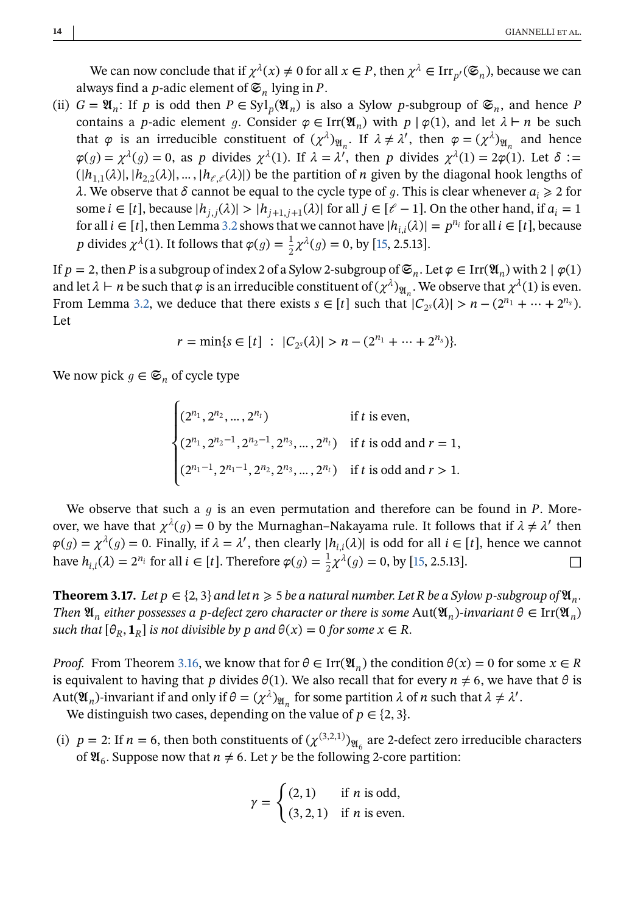<span id="page-13-0"></span>We can now conclude that if  $\chi^{\lambda}(x) \neq 0$  for all  $x \in P$ , then  $\chi^{\lambda} \in \text{Irr}_{n'}(\mathfrak{S}_n)$ , because we can always find a p-adic element of  $\mathfrak{S}_n$  lying in P.

(ii)  $G = \mathfrak{A}_n$ : If p is odd then  $P \in \mathrm{Syl}_n(\mathfrak{A}_n)$  is also a Sylow p-subgroup of  $\mathfrak{S}_n$ , and hence P contains a p-adic element g. Consider  $\varphi \in \text{Irr}(\mathfrak{A}_n)$  with  $p \mid \varphi(1)$ , and let  $\lambda \vdash n$  be such that  $\varphi$  is an irreducible constituent of  $(\chi^{\lambda})_{\mathfrak{A}_{n}}$ . If  $\lambda \neq \lambda'$ , then  $\varphi = (\chi^{\lambda})_{\mathfrak{A}_{n}}$  and hence  $\varphi(g) = \chi^{\lambda}(g) = 0$ , as p divides  $\chi^{\lambda}(1)$ . If  $\lambda = \lambda'$ , then p divides  $\chi^{\lambda}(1) = 2\varphi(1)$ . Let  $\delta :=$  $(|h_{1,1}(\lambda)|, |h_{2,2}(\lambda)|, ..., |h_{\ell,\ell}(\lambda)|)$  be the partition of *n* given by the diagonal hook lengths of  $\lambda$ . We observe that  $\delta$  cannot be equal to the cycle type of g. This is clear whenever  $a_i \geq 2$  for some  $i \in [t]$ , because  $|h_{j,j}(\lambda)| > |h_{j+1,j+1}(\lambda)|$  for all  $j \in [\ell-1]$ . On the other hand, if  $a_i = 1$ for all  $i \in [t]$ , then Lemma [3.2](#page-6-0) shows that we cannot have  $|h_{i,i}(\lambda)| = p^{n_i}$  for all  $i \in [t]$ , because p divides  $\chi^{\lambda}(1)$ . It follows that  $\varphi(g) = \frac{1}{2}\chi^{\lambda}(g) = 0$ , by [\[15,](#page-15-0) 2.5.13].

If  $p = 2$ , then P is a subgroup of index 2 of a Sylow 2-subgroup of  $\mathfrak{S}_n$ . Let  $\varphi \in \text{Irr}(\mathfrak{A}_n)$  with  $2 \mid \varphi(1)$ and let  $\lambda \vdash n$  be such that  $\varphi$  is an irreducible constituent of  $(\chi^{\lambda})_{\mathfrak{A}}$ . We observe that  $\chi^{\lambda}(1)$  is even. From Lemma [3.2,](#page-6-0) we deduce that there exists  $s \in [t]$  such that  $|C_{2<sup>s</sup>}(\lambda)| > n - (2^{n_1} + \cdots + 2^{n_s}).$ Let

$$
r = \min\{s \in [t] : |C_{2^s}(\lambda)| > n - (2^{n_1} + \dots + 2^{n_s})\}.
$$

We now pick  $g \in \mathfrak{S}_n$  of cycle type

$$
\begin{cases}\n(2^{n_1}, 2^{n_2}, \dots, 2^{n_t}) & \text{if } t \text{ is even,} \\
(2^{n_1}, 2^{n_2 - 1}, 2^{n_2 - 1}, 2^{n_3}, \dots, 2^{n_t}) & \text{if } t \text{ is odd and } r = 1, \\
(2^{n_1 - 1}, 2^{n_1 - 1}, 2^{n_2}, 2^{n_3}, \dots, 2^{n_t}) & \text{if } t \text{ is odd and } r > 1.\n\end{cases}
$$

We observe that such a  $q$  is an even permutation and therefore can be found in  $P$ . Moreover, we have that  $\chi^{\lambda}(q)=0$  by the Murnaghan–Nakayama rule. It follows that if  $\lambda \neq \lambda'$  then  $\varphi(g) = \chi^{\lambda}(g) = 0$ . Finally, if  $\lambda = \lambda'$ , then clearly  $|h_{i,i}(\lambda)|$  is odd for all  $i \in [t]$ , hence we cannot have  $h_{i,i}(\lambda) = 2^{n_i}$  for all  $i \in [t]$ . Therefore  $\varphi(g) = \frac{1}{2}\chi^{\lambda}(g) = 0$ , by [\[15,](#page-15-0) 2.5.13].

**Theorem 3.17.** *Let*  $p \in \{2, 3\}$  *and let*  $n \geq 5$  *be a natural number. Let*  $R$  *be a Sylow p-subgroup of*  $\mathfrak{A}_n$ *. Then*  $\mathfrak{A}_n$  *either possesses a p-defect zero character or there is some* Aut $(\mathfrak{A}_n)$ *-invariant*  $\theta \in \text{Irr}(\mathfrak{A}_n)$ *such that*  $[\theta_R, \mathbf{1}_R]$  *is not divisible by*  $p$  *and*  $\theta(x) = 0$  *for some*  $x \in R$ *.* 

*Proof.* From Theorem [3.16,](#page-12-0) we know that for  $\theta \in \text{Irr}(\mathfrak{A}_n)$  the condition  $\theta(x) = 0$  for some  $x \in R$ is equivalent to having that p divides  $\theta(1)$ . We also recall that for every  $n \neq 6$ , we have that  $\theta$  is Aut $(\mathfrak{A}_n)$ -invariant if and only if  $\theta = (\chi^\lambda)_{\mathfrak{A}_n}$  for some partition  $\lambda$  of *n* such that  $\lambda \neq \lambda'$ .

We distinguish two cases, depending on the value of  $p \in \{2, 3\}$ .

(i)  $p = 2$ : If  $n = 6$ , then both constituents of  $(\chi^{(3,2,1)})_{\mathfrak{A}_{6}}$  are 2-defect zero irreducible characters of  $\mathfrak{A}_6$ . Suppose now that  $n \neq 6$ . Let  $\gamma$  be the following 2-core partition:

$$
\gamma = \begin{cases} (2,1) & \text{if } n \text{ is odd,} \\ (3,2,1) & \text{if } n \text{ is even.} \end{cases}
$$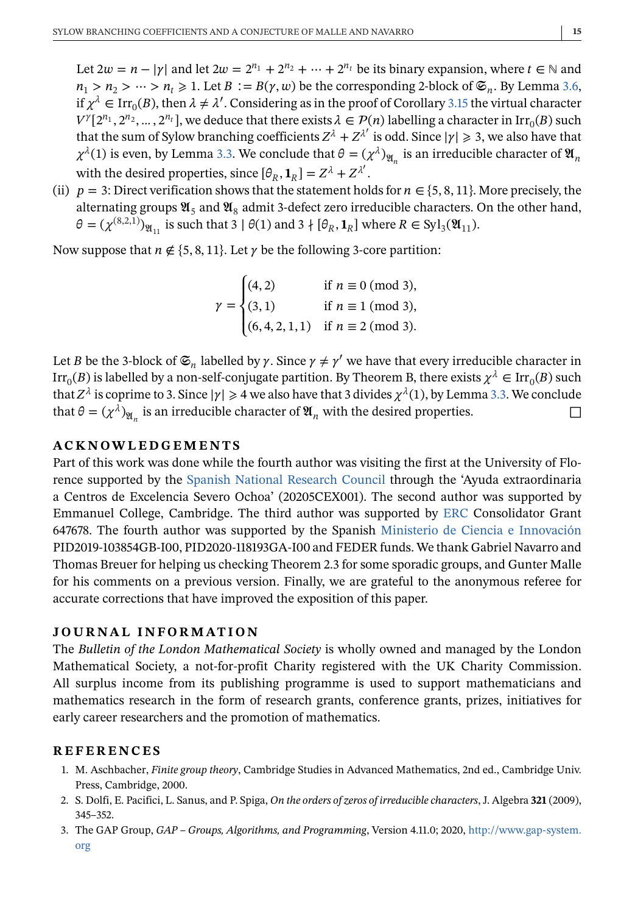<span id="page-14-0"></span>Let  $2w = n - |y|$  and let  $2w = 2^{n_1} + 2^{n_2} + \cdots + 2^{n_t}$  be its binary expansion, where  $t \in \mathbb{N}$  and  $n_1 > n_2 > \cdots > n_t \ge 1$ . Let  $B := B(\gamma, w)$  be the corresponding 2-block of  $\mathfrak{S}_n$ . By Lemma [3.6,](#page-7-0) if  $\chi^{\lambda} \in \text{Irr}_0(B)$ , then  $\lambda \neq \lambda'$ . Considering as in the proof of Corollary [3.15](#page-11-0) the virtual character  $V^{\gamma}[2^{n_1}, 2^{n_2}, \dots, 2^{n_t}]$ , we deduce that there exists  $\lambda \in \mathcal{P}(n)$  labelling a character in Irr<sub>0</sub>(B) such that the sum of Sylow branching coefficients  $Z^{\lambda} + Z^{\lambda'}$  is odd. Since  $|\gamma| \ge 3$ , we also have that  $\chi^{\lambda}(1)$  is even, by Lemma [3.3.](#page-6-0) We conclude that  $\theta = (\chi^{\lambda})_{\mathfrak{A}_{n}}$  is an irreducible character of  $\mathfrak{A}_{n}$ with the desired properties, since  $[\theta_R, \mathbf{1}_R] = Z^{\lambda} + Z^{\lambda'}$ .

(ii)  $p = 3$ : Direct verification shows that the statement holds for  $n \in \{5, 8, 11\}$ . More precisely, the alternating groups  $\mathfrak{A}_5$  and  $\mathfrak{A}_8$  admit 3-defect zero irreducible characters. On the other hand,  $\theta = (\chi^{(8,2,1)})_{\mathfrak{A}_{1,1}}$  is such that 3 |  $\theta(1)$  and 3  $\nmid [\theta_R, \mathbf{1}_R]$  where  $R \in \mathrm{Syl}_3(\mathfrak{A}_{1,1}).$ 

Now suppose that  $n \notin \{5, 8, 11\}$ . Let  $\gamma$  be the following 3-core partition:

|                                                     | if $n \equiv 0 \pmod{3}$ ,                   |
|-----------------------------------------------------|----------------------------------------------|
| $\gamma = \begin{cases} (4,2) \\ (3,1) \end{cases}$ | if $n \equiv 1 \pmod{3}$ ,                   |
|                                                     | $(6, 4, 2, 1, 1)$ if $n \equiv 2 \pmod{3}$ . |
|                                                     |                                              |

Let B be the 3-block of  $\mathfrak{S}_n$  labelled by  $\gamma$ . Since  $\gamma \neq \gamma'$  we have that every irreducible character in  $Irr_0(B)$  is labelled by a non-self-conjugate partition. By Theorem B, there exists  $\chi^{\lambda} \in Irr_0(B)$  such that  $Z^{\lambda}$  is coprime to 3. Since  $|\gamma| \ge 4$  we also have that 3 divides  $\chi^{\lambda}(1)$ , by Lemma [3.3.](#page-6-0) We conclude that  $\theta = (\chi^{\lambda})_{\mathfrak{w}}$  is an irreducible character of  $\mathfrak{A}_{\mathfrak{w}}$  with the desired properties. that  $\theta = (\chi^{\lambda})_{\mathfrak{A}_{\lambda}}$  is an irreducible character of  $\mathfrak{A}_{n}$  with the desired properties.

#### **ACKNOWLEDGEMENTS**

Part of this work was done while the fourth author was visiting the first at the University of Florence supported by the [Spanish National Research Council](#page-0-0) through the 'Ayuda extraordinaria a Centros de Excelencia Severo Ochoa' (20205CEX001). The second author was supported by Emmanuel College, Cambridge. The third author was supported by [ERC](#page-0-0) Consolidator Grant 647678. The fourth author was supported by the Spanish [Ministerio de Ciencia e Innovación](#page-0-0) PID2019-103854GB-I00, PID2020-118193GA-I00 and FEDER funds. We thank Gabriel Navarro and Thomas Breuer for helping us checking Theorem 2.3 for some sporadic groups, and Gunter Malle for his comments on a previous version. Finally, we are grateful to the anonymous referee for accurate corrections that have improved the exposition of this paper.

#### **JOURNAL INFORMATION**

The *Bulletin of the London Mathematical Society* is wholly owned and managed by the London Mathematical Society, a not-for-profit Charity registered with the UK Charity Commission. All surplus income from its publishing programme is used to support mathematicians and mathematics research in the form of research grants, conference grants, prizes, initiatives for early career researchers and the promotion of mathematics.

#### **REFERENCES**

- 1. M. Aschbacher, *Finite group theory*, Cambridge Studies in Advanced Mathematics, 2nd ed., Cambridge Univ. Press, Cambridge, 2000.
- 2. S. Dolfi, E. Pacifici, L. Sanus, and P. Spiga, *On the orders of zeros of irreducible characters*, J. Algebra **321** (2009), 345–352.
- 3. The GAP Group, *GAP Groups, Algorithms, and Programming*, Version 4.11.0; 2020, [http://www.gap-system.](http://www.gap-system.org) [org](http://www.gap-system.org)